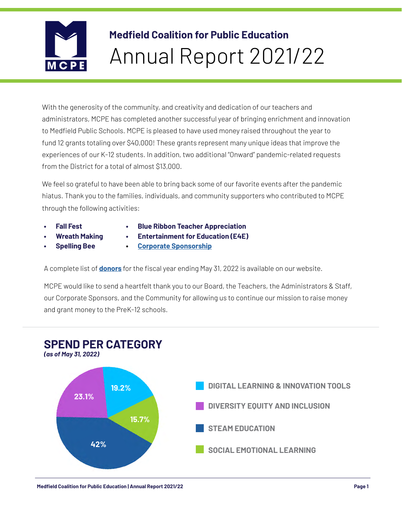

# **Medfield Coalition for Public Education** Annual Report 2021/22

With the generosity of the community, and creativity and dedication of our teachers and administrators, MCPE has completed another successful year of bringing enrichment and innovation to Medfield Public Schools. MCPE is pleased to have used money raised throughout the year to fund 12 grants totaling over \$40,000! These grants represent many unique ideas that improve the experiences of our K-12 students. In addition, two additional "Onward" pandemic-related requests from the District for a total of almost \$13,000.

We feel so grateful to have been able to bring back some of our favorite events after the pandemic hiatus. Thank you to the families, individuals, and community supporters who contributed to MCPE through the following activities:

- **• Fall Fest**
- **• Blue Ribbon Teacher Appreciation**
- **• Wreath Making • Spelling Bee**
- **• Entertainment for Education (E4E)**
- **• [Corporate Sponsorship](https://www.medfieldcoalition.org/sponsors)**

A complete list of **[donors](https://www.medfieldcoalition.org/donors-2021-22)** for the fiscal year ending May 31, 2022 is available on our website.

MCPE would like to send a heartfelt thank you to our Board, the Teachers, the Administrators & Staff, our Corporate Sponsors, and the Community for allowing us to continue our mission to raise money and grant money to the PreK-12 schools.